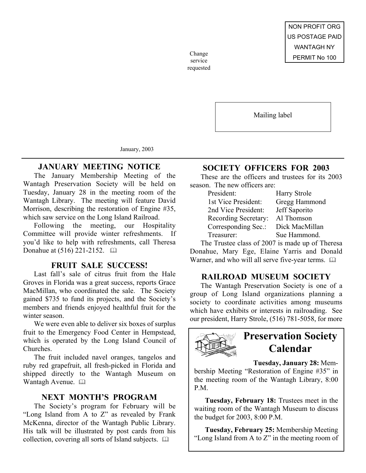service requested

Mailing label

January, 2003

## **JANUARY MEETING NOTICE**

The January Membership Meeting of the Wantagh Preservation Society will be held on Tuesday, January 28 in the meeting room of the Wantagh Library. The meeting will feature David Morrison, describing the restoration of Engine #35, which saw service on the Long Island Railroad.

Following the meeting, our Hospitality Committee will provide winter refreshments. you'd like to help with refreshments, call Theresa Donahue at (516) 221-2152.  $\Box$ 

## **FRUIT SALE SUCCESS!**

Last fall's sale of citrus fruit from the Hale Groves in Florida was a great success, reports Grace MacMillan, who coordinated the sale. The Society gained \$735 to fund its projects, and the Society's members and friends enjoyed healthful fruit for the winter season.

We were even able to deliver six boxes of surplus fruit to the Emergency Food Center in Hempstead, which is operated by the Long Island Council of Churches.

The fruit included navel oranges, tangelos and ruby red grapefruit, all fresh-picked in Florida and shipped directly to the Wantagh Museum on Wantagh Avenue. A

#### **NEXT MONTH'S PROGRAM**

The Society's program for February will be "Long Island from A to Z" as revealed by Frank McKenna, director of the Wantagh Public Library. His talk will be illustrated by post cards from his collection, covering all sorts of Island subjects. 

## **SOCIETY OFFICERS FOR 2003**

These are the officers and trustees for its 2003 season. The new officers are:

| <b>Harry Strole</b> |
|---------------------|
| Gregg Hammond       |
| Jeff Saporito       |
| Al Thomson          |
| Dick MacMillan      |
| Sue Hammond.        |
|                     |

The Trustee class of 2007 is made up of Theresa Donahue, Mary Ege, Elaine Yarris and Donald Warner, and who will all serve five-year terms.  $\square$ 

#### **RAILROAD MUSEUM SOCIETY**

The Wantagh Preservation Society is one of a group of Long Island organizations planning a society to coordinate activities among museums which have exhibits or interests in railroading. See our president, Harry Strole, (516) 781-5058, for more



**Tuesday, January 28:** Mem-

bership Meeting "Restoration of Engine #35" in the meeting room of the Wantagh Library, 8:00 P.M.

**Tuesday, February 18:** Trustees meet in the waiting room of the Wantagh Museum to discuss the budget for 2003, 8:00 P.M.

**Tuesday, February 25:** Membership Meeting "Long Island from A to Z" in the meeting room of